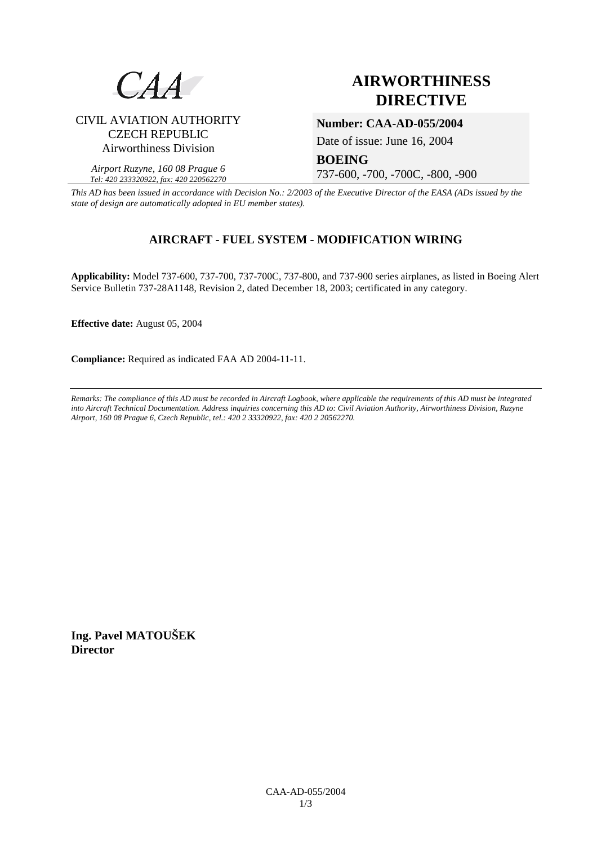

# **AIRWORTHINESS DIRECTIVE**

### CIVIL AVIATION AUTHORITY CZECH REPUBLIC Airworthiness Division

*Airport Ruzyne, 160 08 Prague 6 Tel: 420 233320922, fax: 420 220562270*

**Number: CAA-AD-055/2004** 

Date of issue: June 16, 2004

**BOEING** 

737-600, -700, -700C, -800, -900

*This AD has been issued in accordance with Decision No.: 2/2003 of the Executive Director of the EASA (ADs issued by the state of design are automatically adopted in EU member states).*

## **AIRCRAFT - FUEL SYSTEM - MODIFICATION WIRING**

**Applicability:** Model 737-600, 737-700, 737-700C, 737-800, and 737-900 series airplanes, as listed in Boeing Alert Service Bulletin 737-28A1148, Revision 2, dated December 18, 2003; certificated in any category.

**Effective date:** August 05, 2004

**Compliance:** Required as indicated FAA AD 2004-11-11.

*Remarks: The compliance of this AD must be recorded in Aircraft Logbook, where applicable the requirements of this AD must be integrated into Aircraft Technical Documentation. Address inquiries concerning this AD to: Civil Aviation Authority, Airworthiness Division, Ruzyne Airport, 160 08 Prague 6, Czech Republic, tel.: 420 2 33320922, fax: 420 2 20562270.* 

**Ing. Pavel MATOUŠEK Director**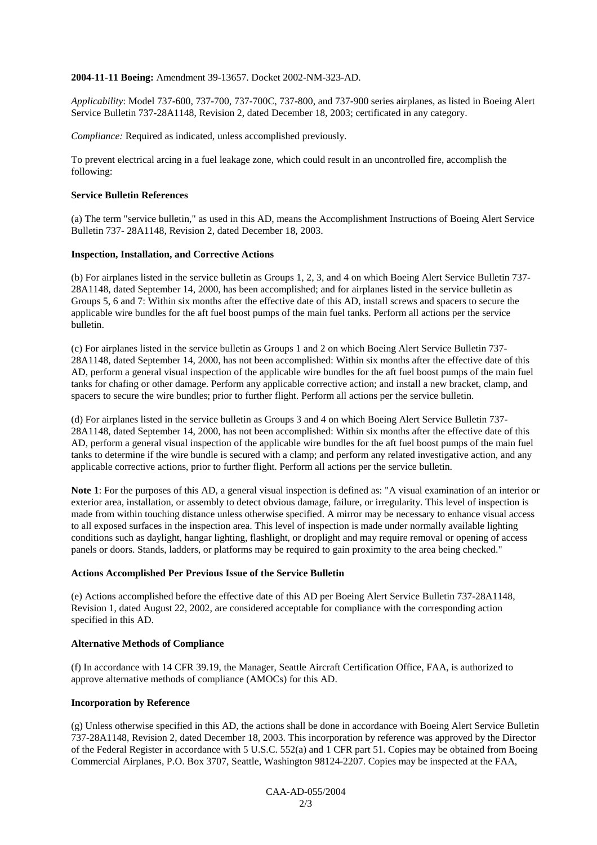#### **2004-11-11 Boeing:** Amendment 39-13657. Docket 2002-NM-323-AD.

*Applicability*: Model 737-600, 737-700, 737-700C, 737-800, and 737-900 series airplanes, as listed in Boeing Alert Service Bulletin 737-28A1148, Revision 2, dated December 18, 2003; certificated in any category.

*Compliance:* Required as indicated, unless accomplished previously.

To prevent electrical arcing in a fuel leakage zone, which could result in an uncontrolled fire, accomplish the following:

#### **Service Bulletin References**

(a) The term "service bulletin," as used in this AD, means the Accomplishment Instructions of Boeing Alert Service Bulletin 737- 28A1148, Revision 2, dated December 18, 2003.

#### **Inspection, Installation, and Corrective Actions**

(b) For airplanes listed in the service bulletin as Groups 1, 2, 3, and 4 on which Boeing Alert Service Bulletin 737- 28A1148, dated September 14, 2000, has been accomplished; and for airplanes listed in the service bulletin as Groups 5, 6 and 7: Within six months after the effective date of this AD, install screws and spacers to secure the applicable wire bundles for the aft fuel boost pumps of the main fuel tanks. Perform all actions per the service bulletin.

(c) For airplanes listed in the service bulletin as Groups 1 and 2 on which Boeing Alert Service Bulletin 737- 28A1148, dated September 14, 2000, has not been accomplished: Within six months after the effective date of this AD, perform a general visual inspection of the applicable wire bundles for the aft fuel boost pumps of the main fuel tanks for chafing or other damage. Perform any applicable corrective action; and install a new bracket, clamp, and spacers to secure the wire bundles; prior to further flight. Perform all actions per the service bulletin.

(d) For airplanes listed in the service bulletin as Groups 3 and 4 on which Boeing Alert Service Bulletin 737- 28A1148, dated September 14, 2000, has not been accomplished: Within six months after the effective date of this AD, perform a general visual inspection of the applicable wire bundles for the aft fuel boost pumps of the main fuel tanks to determine if the wire bundle is secured with a clamp; and perform any related investigative action, and any applicable corrective actions, prior to further flight. Perform all actions per the service bulletin.

**Note 1**: For the purposes of this AD, a general visual inspection is defined as: "A visual examination of an interior or exterior area, installation, or assembly to detect obvious damage, failure, or irregularity. This level of inspection is made from within touching distance unless otherwise specified. A mirror may be necessary to enhance visual access to all exposed surfaces in the inspection area. This level of inspection is made under normally available lighting conditions such as daylight, hangar lighting, flashlight, or droplight and may require removal or opening of access panels or doors. Stands, ladders, or platforms may be required to gain proximity to the area being checked."

#### **Actions Accomplished Per Previous Issue of the Service Bulletin**

(e) Actions accomplished before the effective date of this AD per Boeing Alert Service Bulletin 737-28A1148, Revision 1, dated August 22, 2002, are considered acceptable for compliance with the corresponding action specified in this AD.

#### **Alternative Methods of Compliance**

(f) In accordance with 14 CFR 39.19, the Manager, Seattle Aircraft Certification Office, FAA, is authorized to approve alternative methods of compliance (AMOCs) for this AD.

#### **Incorporation by Reference**

(g) Unless otherwise specified in this AD, the actions shall be done in accordance with Boeing Alert Service Bulletin 737-28A1148, Revision 2, dated December 18, 2003. This incorporation by reference was approved by the Director of the Federal Register in accordance with 5 U.S.C. 552(a) and 1 CFR part 51. Copies may be obtained from Boeing Commercial Airplanes, P.O. Box 3707, Seattle, Washington 98124-2207. Copies may be inspected at the FAA,